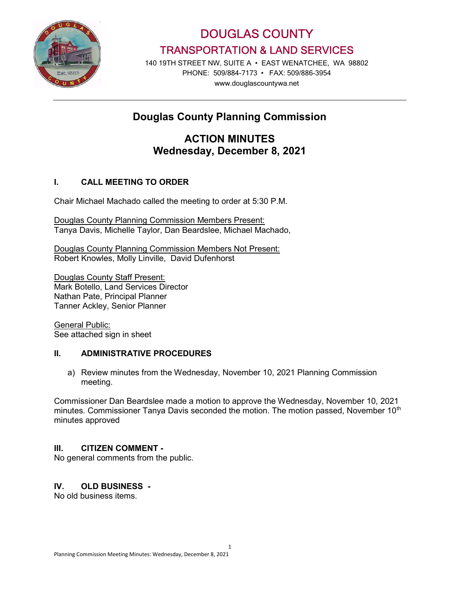

DOUGLAS COUNTY TRANSPORTATION & LAND SERVICES

140 19TH STREET NW, SUITE A • EAST WENATCHEE, WA 98802 PHONE: 509/884-7173 • FAX: 509/886-3954 www.douglascountywa.net

# Douglas County Planning Commission

## ACTION MINUTES Wednesday, December 8, 2021

## I. CALL MEETING TO ORDER

Chair Michael Machado called the meeting to order at 5:30 P.M.

Douglas County Planning Commission Members Present: Tanya Davis, Michelle Taylor, Dan Beardslee, Michael Machado,

Douglas County Planning Commission Members Not Present: Robert Knowles, Molly Linville, David Dufenhorst

Douglas County Staff Present: Mark Botello, Land Services Director Nathan Pate, Principal Planner Tanner Ackley, Senior Planner

General Public: See attached sign in sheet

## II. ADMINISTRATIVE PROCEDURES

a) Review minutes from the Wednesday, November 10, 2021 Planning Commission meeting.

Commissioner Dan Beardslee made a motion to approve the Wednesday, November 10, 2021 minutes. Commissioner Tanya Davis seconded the motion. The motion passed, November 10<sup>th</sup> minutes approved

#### III. CITIZEN COMMENT -

No general comments from the public.

## IV. OLD BUSINESS -

No old business items.